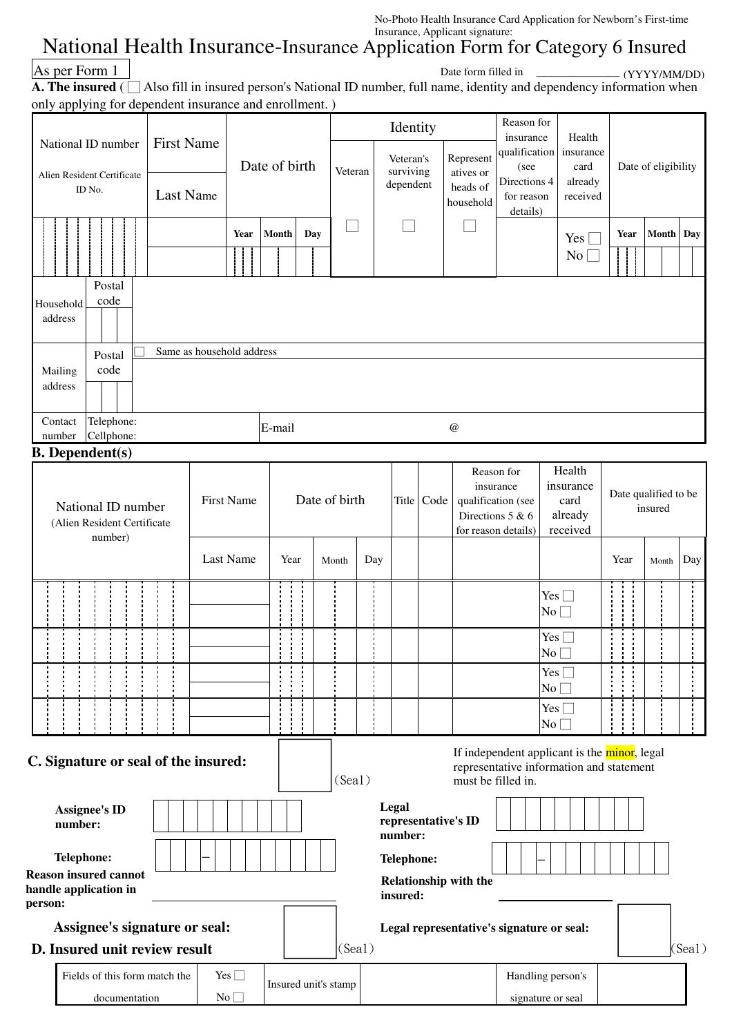No-Photo Health Insurance Card Application for Newborn's First-time Insurance, Applicant signature:

## National Health Insurance-Insurance Application Form for Category 6 Insured

| As per Form 1 |  |
|---------------|--|
|---------------|--|

**A. The insured** ( □ Also fill in insured person's National ID number, full name, identity and dependency information when only applying for dependent insurance and enrollment. ) Date form filled in \_\_\_\_\_\_\_\_\_\_\_\_\_\_\_ (YYYY/MM/DD)

|                                                                                                                                  | $\mu$ applying for dependent instituted and embiniment.                                           |           |                           |                      |               |                        |            |                            |                           |                                                                |                         |                      |           |        |
|----------------------------------------------------------------------------------------------------------------------------------|---------------------------------------------------------------------------------------------------|-----------|---------------------------|----------------------|---------------|------------------------|------------|----------------------------|---------------------------|----------------------------------------------------------------|-------------------------|----------------------|-----------|--------|
| <b>First Name</b><br>National ID number                                                                                          |                                                                                                   |           |                           |                      |               | Identity               |            |                            |                           | Reason for<br>Health<br>insurance                              |                         |                      |           |        |
|                                                                                                                                  |                                                                                                   |           |                           |                      |               | Veteran's              |            | qualification<br>Represent |                           | insurance                                                      | Date of eligibility     |                      |           |        |
| Alien Resident Certificate<br>ID No.                                                                                             |                                                                                                   |           | Date of birth             |                      | Veteran       | surviving<br>dependent |            | atives or<br>heads of      | (see<br>Directions 4      | card<br>already                                                |                         |                      |           |        |
|                                                                                                                                  |                                                                                                   | Last Name |                           |                      |               |                        |            |                            | household                 | for reason<br>details)                                         | received                |                      |           |        |
|                                                                                                                                  |                                                                                                   |           | Year                      | Month<br>Day         |               |                        |            |                            |                           |                                                                | $Yes \Box$              | Year                 | Month Day |        |
|                                                                                                                                  |                                                                                                   |           |                           |                      |               |                        |            |                            |                           |                                                                | $No \Box$               |                      |           |        |
|                                                                                                                                  | Postal                                                                                            |           |                           |                      |               |                        |            |                            |                           |                                                                |                         |                      |           |        |
| code<br>Household<br>address                                                                                                     |                                                                                                   |           |                           |                      |               |                        |            |                            |                           |                                                                |                         |                      |           |        |
|                                                                                                                                  |                                                                                                   |           | Same as household address |                      |               |                        |            |                            |                           |                                                                |                         |                      |           |        |
|                                                                                                                                  | Postal<br>code<br>Mailing                                                                         |           |                           |                      |               |                        |            |                            |                           |                                                                |                         |                      |           |        |
|                                                                                                                                  | address                                                                                           |           |                           |                      |               |                        |            |                            |                           |                                                                |                         |                      |           |        |
|                                                                                                                                  | Telephone:<br>Contact                                                                             |           |                           | E-mail               |               |                        |            |                            | $^\text{\textregistered}$ |                                                                |                         |                      |           |        |
|                                                                                                                                  | Cellphone:<br>number<br><b>B.</b> Dependent(s)                                                    |           |                           |                      |               |                        |            |                            |                           |                                                                |                         |                      |           |        |
|                                                                                                                                  |                                                                                                   |           |                           |                      |               |                        |            |                            | Reason for                |                                                                | Health                  |                      |           |        |
|                                                                                                                                  | National ID number                                                                                |           | <b>First Name</b>         |                      | Date of birth |                        |            | Title Code                 |                           | insurance<br>insurance<br>qualification (see<br>card           |                         | Date qualified to be |           |        |
|                                                                                                                                  | (Alien Resident Certificate                                                                       |           |                           |                      |               |                        |            |                            |                           | Directions 5 & 6<br>already<br>for reason details)<br>received |                         | insured              |           |        |
|                                                                                                                                  | number)                                                                                           |           |                           |                      |               |                        |            |                            |                           |                                                                |                         |                      |           |        |
|                                                                                                                                  |                                                                                                   |           | Last Name                 | Year                 | Month         | Day                    |            |                            |                           |                                                                |                         | Year                 | Month     | Day    |
|                                                                                                                                  |                                                                                                   |           |                           |                      |               |                        |            |                            |                           |                                                                | Yes $\Box$              |                      |           |        |
|                                                                                                                                  |                                                                                                   |           |                           |                      |               |                        |            |                            |                           |                                                                | $\mathrm{No} \ \Box$    |                      |           |        |
|                                                                                                                                  |                                                                                                   |           |                           |                      |               |                        |            |                            |                           |                                                                | Yes $\Box$<br>$No \Box$ |                      |           |        |
|                                                                                                                                  |                                                                                                   |           |                           |                      |               |                        |            |                            |                           |                                                                | $Yes \Box$<br>No        |                      |           |        |
|                                                                                                                                  |                                                                                                   |           |                           |                      |               |                        |            |                            |                           |                                                                | Yes $\Box$              |                      |           |        |
|                                                                                                                                  |                                                                                                   |           |                           |                      |               |                        |            |                            |                           |                                                                | No                      |                      |           |        |
| If independent applicant is the minor, legal<br>C. Signature or seal of the insured:<br>representative information and statement |                                                                                                   |           |                           |                      |               |                        |            |                            |                           |                                                                |                         |                      |           |        |
|                                                                                                                                  |                                                                                                   |           |                           |                      | (Sea1)        |                        |            |                            | must be filled in.        |                                                                |                         |                      |           |        |
|                                                                                                                                  | <b>Assignee's ID</b>                                                                              |           |                           |                      |               |                        | Legal      |                            |                           |                                                                |                         |                      |           |        |
|                                                                                                                                  | number:                                                                                           |           |                           |                      |               |                        | number:    | representative's ID        |                           |                                                                |                         |                      |           |        |
|                                                                                                                                  | <b>Telephone:</b>                                                                                 |           |                           |                      |               |                        | Telephone: |                            |                           |                                                                |                         |                      |           |        |
|                                                                                                                                  | <b>Reason insured cannot</b><br><b>Relationship with the</b><br>handle application in<br>insured: |           |                           |                      |               |                        |            |                            |                           |                                                                |                         |                      |           |        |
| person:                                                                                                                          |                                                                                                   |           |                           |                      |               |                        |            |                            |                           |                                                                |                         |                      |           |        |
|                                                                                                                                  | Assignee's signature or seal:                                                                     |           |                           |                      | (Sea1)        |                        |            |                            |                           | Legal representative's signature or seal:                      |                         |                      |           | (Sea1) |
| D. Insured unit review result<br>Yes $\Box$<br>Fields of this form match the                                                     |                                                                                                   |           |                           |                      |               |                        |            |                            |                           | Handling person's                                              |                         |                      |           |        |
|                                                                                                                                  | documentation                                                                                     |           | No                        | Insured unit's stamp |               |                        |            |                            |                           | signature or seal                                              |                         |                      |           |        |